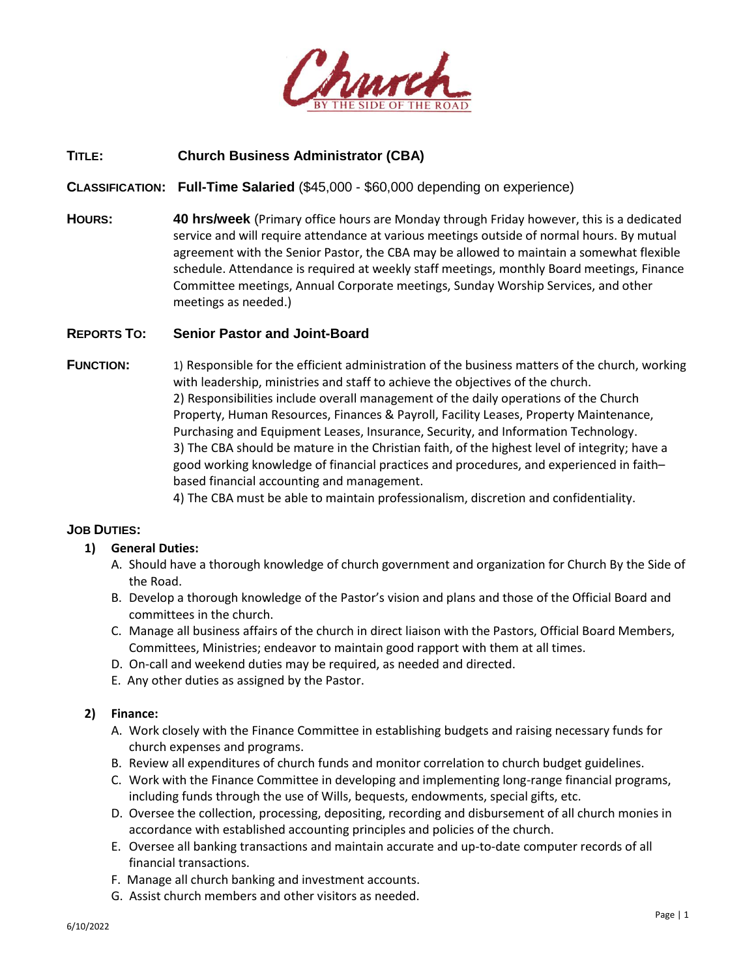

# **TITLE: Church Business Administrator (CBA)**

**CLASSIFICATION: Full-Time Salaried** (\$45,000 - \$60,000 depending on experience)

**HOURS: 40 hrs/week** (Primary office hours are Monday through Friday however, this is a dedicated service and will require attendance at various meetings outside of normal hours. By mutual agreement with the Senior Pastor, the CBA may be allowed to maintain a somewhat flexible schedule. Attendance is required at weekly staff meetings, monthly Board meetings, Finance Committee meetings, Annual Corporate meetings, Sunday Worship Services, and other meetings as needed.)

### **REPORTS TO: Senior Pastor and Joint-Board**

- **FUNCTION:** 1) Responsible for the efficient administration of the business matters of the church, working with leadership, ministries and staff to achieve the objectives of the church. 2) Responsibilities include overall management of the daily operations of the Church Property, Human Resources, Finances & Payroll, Facility Leases, Property Maintenance, Purchasing and Equipment Leases, Insurance, Security, and Information Technology. 3) The CBA should be mature in the Christian faith, of the highest level of integrity; have a good working knowledge of financial practices and procedures, and experienced in faith– based financial accounting and management.
	- 4) The CBA must be able to maintain professionalism, discretion and confidentiality.

### **JOB DUTIES:**

### **1) General Duties:**

- A. Should have a thorough knowledge of church government and organization for Church By the Side of the Road.
- B. Develop a thorough knowledge of the Pastor's vision and plans and those of the Official Board and committees in the church.
- C. Manage all business affairs of the church in direct liaison with the Pastors, Official Board Members, Committees, Ministries; endeavor to maintain good rapport with them at all times.
- D. On-call and weekend duties may be required, as needed and directed.
- E. Any other duties as assigned by the Pastor.

#### **2) Finance:**

- A. Work closely with the Finance Committee in establishing budgets and raising necessary funds for church expenses and programs.
- B. Review all expenditures of church funds and monitor correlation to church budget guidelines.
- C. Work with the Finance Committee in developing and implementing long-range financial programs, including funds through the use of Wills, bequests, endowments, special gifts, etc.
- D. Oversee the collection, processing, depositing, recording and disbursement of all church monies in accordance with established accounting principles and policies of the church.
- E. Oversee all banking transactions and maintain accurate and up-to-date computer records of all financial transactions.
- F. Manage all church banking and investment accounts.
- G. Assist church members and other visitors as needed.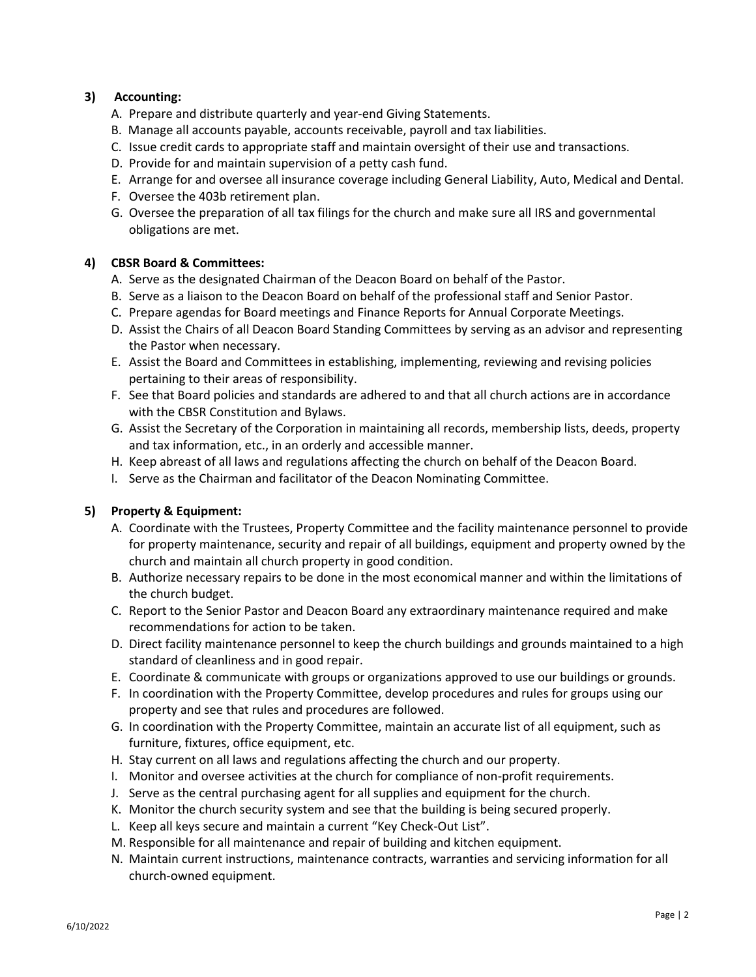# **3) Accounting:**

- A. Prepare and distribute quarterly and year-end Giving Statements.
- B. Manage all accounts payable, accounts receivable, payroll and tax liabilities.
- C. Issue credit cards to appropriate staff and maintain oversight of their use and transactions.
- D. Provide for and maintain supervision of a petty cash fund.
- E. Arrange for and oversee all insurance coverage including General Liability, Auto, Medical and Dental.
- F. Oversee the 403b retirement plan.
- G. Oversee the preparation of all tax filings for the church and make sure all IRS and governmental obligations are met.

### **4) CBSR Board & Committees:**

- A. Serve as the designated Chairman of the Deacon Board on behalf of the Pastor.
- B. Serve as a liaison to the Deacon Board on behalf of the professional staff and Senior Pastor.
- C. Prepare agendas for Board meetings and Finance Reports for Annual Corporate Meetings.
- D. Assist the Chairs of all Deacon Board Standing Committees by serving as an advisor and representing the Pastor when necessary.
- E. Assist the Board and Committees in establishing, implementing, reviewing and revising policies pertaining to their areas of responsibility.
- F. See that Board policies and standards are adhered to and that all church actions are in accordance with the CBSR Constitution and Bylaws.
- G. Assist the Secretary of the Corporation in maintaining all records, membership lists, deeds, property and tax information, etc., in an orderly and accessible manner.
- H. Keep abreast of all laws and regulations affecting the church on behalf of the Deacon Board.
- I. Serve as the Chairman and facilitator of the Deacon Nominating Committee.

### **5) Property & Equipment:**

- A. Coordinate with the Trustees, Property Committee and the facility maintenance personnel to provide for property maintenance, security and repair of all buildings, equipment and property owned by the church and maintain all church property in good condition.
- B. Authorize necessary repairs to be done in the most economical manner and within the limitations of the church budget.
- C. Report to the Senior Pastor and Deacon Board any extraordinary maintenance required and make recommendations for action to be taken.
- D. Direct facility maintenance personnel to keep the church buildings and grounds maintained to a high standard of cleanliness and in good repair.
- E. Coordinate & communicate with groups or organizations approved to use our buildings or grounds.
- F. In coordination with the Property Committee, develop procedures and rules for groups using our property and see that rules and procedures are followed.
- G. In coordination with the Property Committee, maintain an accurate list of all equipment, such as furniture, fixtures, office equipment, etc.
- H. Stay current on all laws and regulations affecting the church and our property.
- I. Monitor and oversee activities at the church for compliance of non-profit requirements.
- J. Serve as the central purchasing agent for all supplies and equipment for the church.
- K. Monitor the church security system and see that the building is being secured properly.
- L. Keep all keys secure and maintain a current "Key Check-Out List".
- M. Responsible for all maintenance and repair of building and kitchen equipment.
- N. Maintain current instructions, maintenance contracts, warranties and servicing information for all church-owned equipment.